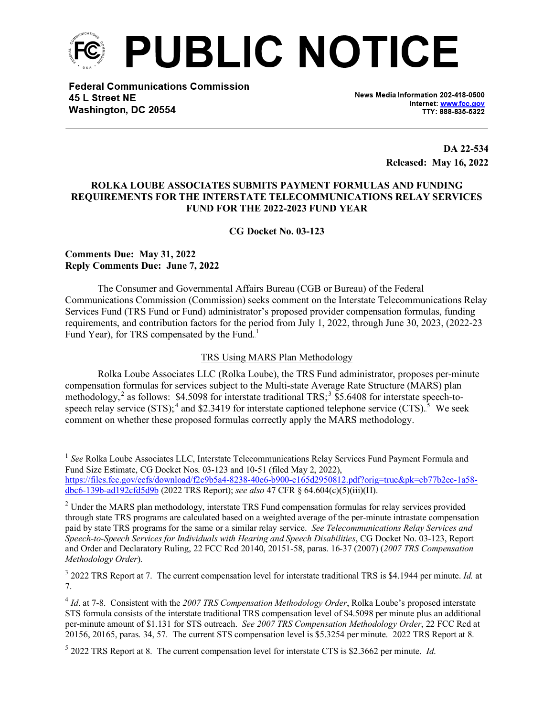

**Federal Communications Commission** 45 L Street NE Washington, DC 20554

News Media Information 202-418-0500 Internet: www.fcc.gov TTY: 888-835-5322

> **DA 22-534 Released: May 16, 2022**

# **ROLKA LOUBE ASSOCIATES SUBMITS PAYMENT FORMULAS AND FUNDING REQUIREMENTS FOR THE INTERSTATE TELECOMMUNICATIONS RELAY SERVICES FUND FOR THE 2022-2023 FUND YEAR**

**CG Docket No. 03-123**

# **Comments Due: May 31, 2022 Reply Comments Due: June 7, 2022**

The Consumer and Governmental Affairs Bureau (CGB or Bureau) of the Federal Communications Commission (Commission) seeks comment on the Interstate Telecommunications Relay Services Fund (TRS Fund or Fund) administrator's proposed provider compensation formulas, funding requirements, and contribution factors for the period from July 1, 2022, through June 30, 2023, (2022-23 Fund Year), for TRS compensated by the Fund.<sup>1</sup>

### TRS Using MARS Plan Methodology

Rolka Loube Associates LLC (Rolka Loube), the TRS Fund administrator, proposes per-minute compensation formulas for services subject to the Multi-state Average Rate Structure (MARS) plan methodology,<sup>2</sup> as follows: \$4.5098 for interstate traditional TRS;<sup>3</sup> \$5.6408 for interstate speech-tospeech relay service  $(STS)$ ;<sup>4</sup> and \$2.3419 for interstate captioned telephone service  $(CTS)$ .<sup>5</sup> We seek comment on whether these proposed formulas correctly apply the MARS methodology.

<sup>&</sup>lt;sup>1</sup> See Rolka Loube Associates LLC, Interstate Telecommunications Relay Services Fund Payment Formula and Fund Size Estimate, CG Docket Nos. 03-123 and 10-51 (filed May 2, 2022), [https://files.fcc.gov/ecfs/download/f2c9b5a4-8238-40e6-b900-c165d2950812.pdf?orig=true&pk=cb77b2ec-1a58-](https://files.fcc.gov/ecfs/download/f2c9b5a4-8238-40e6-b900-c165d2950812.pdf?orig=true&pk=cb77b2ec-1a58-dbc6-139b-ad192cfd5d9b)

[dbc6-139b-ad192cfd5d9b](https://files.fcc.gov/ecfs/download/f2c9b5a4-8238-40e6-b900-c165d2950812.pdf?orig=true&pk=cb77b2ec-1a58-dbc6-139b-ad192cfd5d9b) (2022 TRS Report); *see also* 47 CFR § 64.604(c)(5)(iii)(H).

<sup>&</sup>lt;sup>2</sup> Under the MARS plan methodology, interstate TRS Fund compensation formulas for relay services provided through state TRS programs are calculated based on a weighted average of the per-minute intrastate compensation paid by state TRS programs for the same or a similar relay service. *See Telecommunications Relay Services and Speech-to-Speech Services for Individuals with Hearing and Speech Disabilities*, CG Docket No. 03-123, Report and Order and Declaratory Ruling, 22 FCC Rcd 20140, 20151-58, paras. 16-37 (2007) (*2007 TRS Compensation Methodology Order*).

<sup>3</sup> 2022 TRS Report at 7. The current compensation level for interstate traditional TRS is \$4.1944 per minute. *Id.* at 7.

<sup>4</sup> *Id*. at 7-8. Consistent with the *2007 TRS Compensation Methodology Order*, Rolka Loube's proposed interstate STS formula consists of the interstate traditional TRS compensation level of \$4.5098 per minute plus an additional per-minute amount of \$1.131 for STS outreach. *See 2007 TRS Compensation Methodology Order*, 22 FCC Rcd at 20156, 20165, paras. 34, 57. The current STS compensation level is \$5.3254 per minute. 2022 TRS Report at 8.

<sup>5</sup> 2022 TRS Report at 8. The current compensation level for interstate CTS is \$2.3662 per minute. *Id*.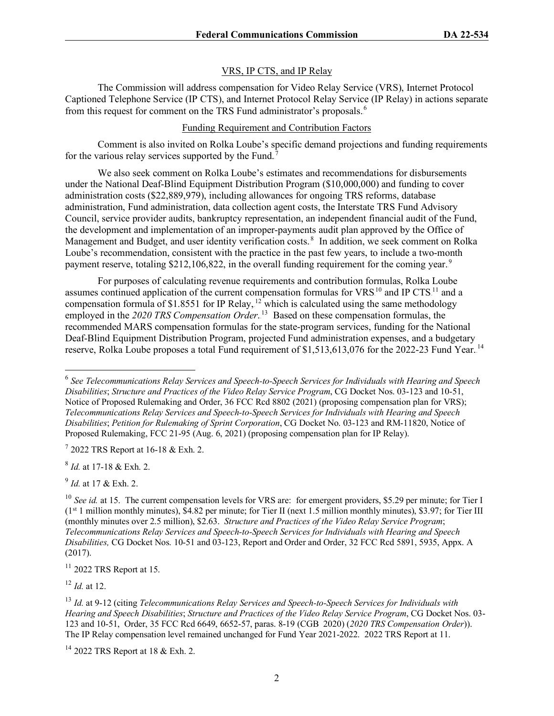# VRS, IP CTS, and IP Relay

The Commission will address compensation for Video Relay Service (VRS), Internet Protocol Captioned Telephone Service (IP CTS), and Internet Protocol Relay Service (IP Relay) in actions separate from this request for comment on the TRS Fund administrator's proposals.<sup>6</sup>

#### Funding Requirement and Contribution Factors

Comment is also invited on Rolka Loube's specific demand projections and funding requirements for the various relay services supported by the Fund.<sup>7</sup>

We also seek comment on Rolka Loube's estimates and recommendations for disbursements under the National Deaf-Blind Equipment Distribution Program (\$10,000,000) and funding to cover administration costs (\$22,889,979), including allowances for ongoing TRS reforms, database administration, Fund administration, data collection agent costs, the Interstate TRS Fund Advisory Council, service provider audits, bankruptcy representation, an independent financial audit of the Fund, the development and implementation of an improper-payments audit plan approved by the Office of Management and Budget, and user identity verification costs.<sup>8</sup> In addition, we seek comment on Rolka Loube's recommendation, consistent with the practice in the past few years, to include a two-month payment reserve, totaling \$212,106,822, in the overall funding requirement for the coming year.<sup>9</sup>

For purposes of calculating revenue requirements and contribution formulas, Rolka Loube assumes continued application of the current compensation formulas for VRS $^{10}$  and IP CTS $^{11}$  and a compensation formula of \$1.8551 for IP Relay,  $12$  which is calculated using the same methodology employed in the 2020 TRS Compensation Order.<sup>13</sup> Based on these compensation formulas, the recommended MARS compensation formulas for the state-program services, funding for the National Deaf-Blind Equipment Distribution Program, projected Fund administration expenses, and a budgetary reserve, Rolka Loube proposes a total Fund requirement of \$1,513,613,076 for the 2022-23 Fund Year.<sup>14</sup>

 $7$  2022 TRS Report at 16-18 & Exh. 2.

<sup>8</sup> *Id.* at 17-18 & Exh. 2.

<sup>9</sup> *Id.* at 17 & Exh. 2.

 $11$  2022 TRS Report at 15.

<sup>12</sup> *Id.* at 12.

<sup>6</sup> *See Telecommunications Relay Services and Speech-to-Speech Services for Individuals with Hearing and Speech Disabilities*; *Structure and Practices of the Video Relay Service Program*, CG Docket Nos. 03-123 and 10-51, Notice of Proposed Rulemaking and Order, 36 FCC Rcd 8802 (2021) (proposing compensation plan for VRS); *Telecommunications Relay Services and Speech-to-Speech Services for Individuals with Hearing and Speech Disabilities*; *Petition for Rulemaking of Sprint Corporation*, CG Docket No. 03-123 and RM-11820, Notice of Proposed Rulemaking, FCC 21-95 (Aug. 6, 2021) (proposing compensation plan for IP Relay).

<sup>&</sup>lt;sup>10</sup> *See id.* at 15. The current compensation levels for VRS are: for emergent providers, \$5.29 per minute; for Tier I  $(1<sup>st</sup> 1$  million monthly minutes), \$4.82 per minute; for Tier II (next 1.5 million monthly minutes), \$3.97; for Tier III (monthly minutes over 2.5 million), \$2.63. *Structure and Practices of the Video Relay Service Program*; *Telecommunications Relay Services and Speech-to-Speech Services for Individuals with Hearing and Speech Disabilities,* CG Docket Nos. 10-51 and 03-123, Report and Order and Order, 32 FCC Rcd 5891, 5935, Appx. A (2017).

<sup>13</sup> *Id.* at 9-12 (citing *Telecommunications Relay Services and Speech-to-Speech Services for Individuals with Hearing and Speech Disabilities*; *Structure and Practices of the Video Relay Service Program*, CG Docket Nos. 03- 123 and 10-51, Order, 35 FCC Rcd 6649, 6652-57, paras. 8-19 (CGB 2020) (*2020 TRS Compensation Order*)). The IP Relay compensation level remained unchanged for Fund Year 2021-2022. 2022 TRS Report at 11.

<sup>&</sup>lt;sup>14</sup> 2022 TRS Report at 18 & Exh. 2.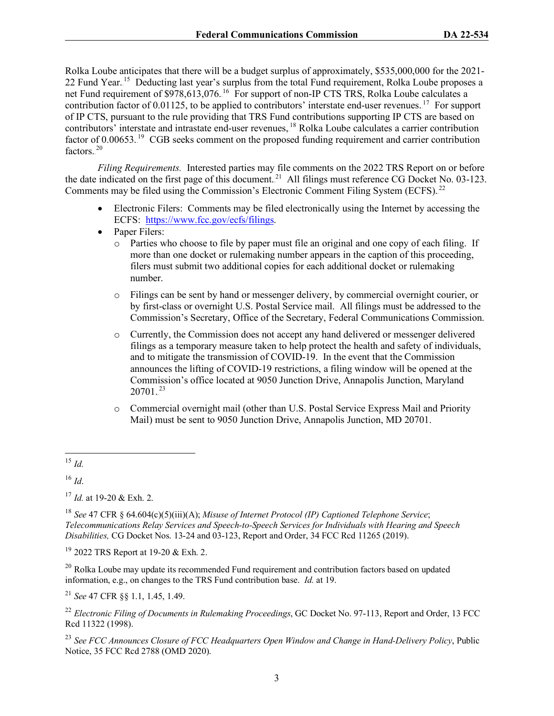Rolka Loube anticipates that there will be a budget surplus of approximately, \$535,000,000 for the 2021- 22 Fund Year.<sup>15</sup> Deducting last year's surplus from the total Fund requirement, Rolka Loube proposes a net Fund requirement of \$978,613,076.<sup>16</sup> For support of non-IP CTS TRS, Rolka Loube calculates a contribution factor of  $0.01125$ , to be applied to contributors' interstate end-user revenues. <sup>17</sup> For support of IP CTS, pursuant to the rule providing that TRS Fund contributions supporting IP CTS are based on contributors' interstate and intrastate end-user revenues, <sup>18</sup> Rolka Loube calculates a carrier contribution factor of  $0.00653$ .<sup>19</sup> CGB seeks comment on the proposed funding requirement and carrier contribution factors. $20$ 

*Filing Requirements.* Interested parties may file comments on the 2022 TRS Report on or before the date indicated on the first page of this document.<sup>21</sup> All filings must reference CG Docket No. 03-123. Comments may be filed using the Commission's Electronic Comment Filing System (ECFS).<sup>22</sup>

- Electronic Filers: Comments may be filed electronically using the Internet by accessing the ECFS: [https://www.fcc.gov/ecfs/filings.](https://www.fcc.gov/ecfs/filings)
- Paper Filers:
	- o Parties who choose to file by paper must file an original and one copy of each filing. If more than one docket or rulemaking number appears in the caption of this proceeding, filers must submit two additional copies for each additional docket or rulemaking number.
	- o Filings can be sent by hand or messenger delivery, by commercial overnight courier, or by first-class or overnight U.S. Postal Service mail. All filings must be addressed to the Commission's Secretary, Office of the Secretary, Federal Communications Commission.
	- o Currently, the Commission does not accept any hand delivered or messenger delivered filings as a temporary measure taken to help protect the health and safety of individuals, and to mitigate the transmission of COVID-19. In the event that the Commission announces the lifting of COVID-19 restrictions, a filing window will be opened at the Commission's office located at 9050 Junction Drive, Annapolis Junction, Maryland  $20701.^{23}$
	- o Commercial overnight mail (other than U.S. Postal Service Express Mail and Priority Mail) must be sent to 9050 Junction Drive, Annapolis Junction, MD 20701.
- <sup>15</sup> *Id.*

<sup>16</sup> *Id*.

<sup>17</sup> *Id.* at 19-20 & Exh. 2.

<sup>19</sup> 2022 TRS Report at 19-20 & Exh. 2.

 $20$  Rolka Loube may update its recommended Fund requirement and contribution factors based on updated information, e.g., on changes to the TRS Fund contribution base. *Id.* at 19.

<sup>21</sup> *See* 47 CFR §§ 1.1, 1.45, 1.49.

<sup>23</sup> *See FCC Announces Closure of FCC Headquarters Open Window and Change in Hand-Delivery Policy*, Public Notice, 35 FCC Rcd 2788 (OMD 2020).

<sup>18</sup> *See* 47 CFR § 64.604(c)(5)(iii)(A); *Misuse of Internet Protocol (IP) Captioned Telephone Service*; *Telecommunications Relay Services and Speech-to-Speech Services for Individuals with Hearing and Speech Disabilities,* CG Docket Nos. 13-24 and 03-123, Report and Order, 34 FCC Rcd 11265 (2019).

<sup>22</sup> *Electronic Filing of Documents in Rulemaking Proceedings*, GC Docket No. 97-113, Report and Order, 13 FCC Rcd 11322 (1998).